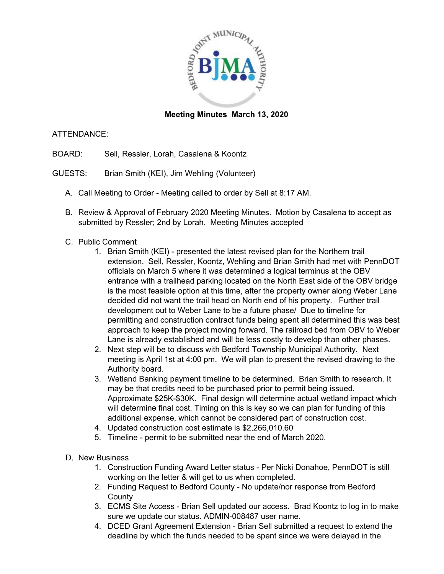

## **Meeting Minutes March 13, 2020**

## ATTENDANCE:

- BOARD: Sell, Ressler, Lorah, Casalena & Koontz
- GUESTS: Brian Smith (KEI), Jim Wehling (Volunteer)
	- A. Call Meeting to Order Meeting called to order by Sell at 8:17 AM.
	- B. Review & Approval of February 2020 Meeting Minutes. Motion by Casalena to accept as submitted by Ressler; 2nd by Lorah. Meeting Minutes accepted
	- C. Public Comment
		- 1. Brian Smith (KEI) presented the latest revised plan for the Northern trail extension. Sell, Ressler, Koontz, Wehling and Brian Smith had met with PennDOT officials on March 5 where it was determined a logical terminus at the OBV entrance with a trailhead parking located on the North East side of the OBV bridge is the most feasible option at this time, after the property owner along Weber Lane decided did not want the trail head on North end of his property. Further trail development out to Weber Lane to be a future phase/ Due to timeline for permitting and construction contract funds being spent all determined this was best approach to keep the project moving forward. The railroad bed from OBV to Weber Lane is already established and will be less costly to develop than other phases.
		- 2. Next step will be to discuss with Bedford Township Municipal Authority. Next meeting is April 1st at 4:00 pm. We will plan to present the revised drawing to the Authority board.
		- 3. Wetland Banking payment timeline to be determined. Brian Smith to research. It may be that credits need to be purchased prior to permit being issued. Approximate \$25K-\$30K. Final design will determine actual wetland impact which will determine final cost. Timing on this is key so we can plan for funding of this additional expense, which cannot be considered part of construction cost.
		- 4. Updated construction cost estimate is \$2,266,010.60
		- 5. Timeline permit to be submitted near the end of March 2020.
	- D. New Business
		- 1. Construction Funding Award Letter status Per Nicki Donahoe, PennDOT is still working on the letter & will get to us when completed.
		- 2. Funding Request to Bedford County No update/nor response from Bedford **County**
		- 3. ECMS Site Access Brian Sell updated our access. Brad Koontz to log in to make sure we update our status. ADMIN-008487 user name.
		- 4. DCED Grant Agreement Extension Brian Sell submitted a request to extend the deadline by which the funds needed to be spent since we were delayed in the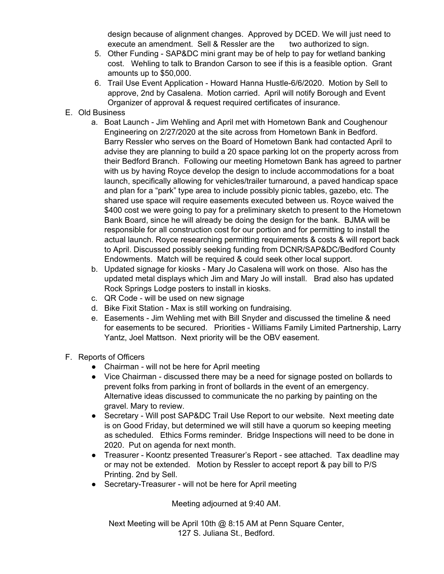design because of alignment changes. Approved by DCED. We will just need to execute an amendment. Sell & Ressler are the two authorized to sign.

- 5. Other Funding SAP&DC mini grant may be of help to pay for wetland banking cost. Wehling to talk to Brandon Carson to see if this is a feasible option. Grant amounts up to \$50,000.
- 6. Trail Use Event Application Howard Hanna Hustle-6/6/2020. Motion by Sell to approve, 2nd by Casalena. Motion carried. April will notify Borough and Event Organizer of approval & request required certificates of insurance.
- E. Old Business
	- a. Boat Launch Jim Wehling and April met with Hometown Bank and Coughenour Engineering on 2/27/2020 at the site across from Hometown Bank in Bedford. Barry Ressler who serves on the Board of Hometown Bank had contacted April to advise they are planning to build a 20 space parking lot on the property across from their Bedford Branch. Following our meeting Hometown Bank has agreed to partner with us by having Royce develop the design to include accommodations for a boat launch, specifically allowing for vehicles/trailer turnaround, a paved handicap space and plan for a "park" type area to include possibly picnic tables, gazebo, etc. The shared use space will require easements executed between us. Royce waived the \$400 cost we were going to pay for a preliminary sketch to present to the Hometown Bank Board, since he will already be doing the design for the bank. BJMA will be responsible for all construction cost for our portion and for permitting to install the actual launch. Royce researching permitting requirements & costs & will report back to April. Discussed possibly seeking funding from DCNR/SAP&DC/Bedford County Endowments. Match will be required & could seek other local support.
	- b. Updated signage for kiosks Mary Jo Casalena will work on those. Also has the updated metal displays which Jim and Mary Jo will install. Brad also has updated Rock Springs Lodge posters to install in kiosks.
	- c. QR Code will be used on new signage
	- d. Bike Fixit Station Max is still working on fundraising.
	- e. Easements Jim Wehling met with Bill Snyder and discussed the timeline & need for easements to be secured. Priorities - Williams Family Limited Partnership, Larry Yantz, Joel Mattson. Next priority will be the OBV easement.
- F. Reports of Officers
	- Chairman will not be here for April meeting
	- Vice Chairman discussed there may be a need for signage posted on bollards to prevent folks from parking in front of bollards in the event of an emergency. Alternative ideas discussed to communicate the no parking by painting on the gravel. Mary to review.
	- Secretary Will post SAP&DC Trail Use Report to our website. Next meeting date is on Good Friday, but determined we will still have a quorum so keeping meeting as scheduled. Ethics Forms reminder. Bridge Inspections will need to be done in 2020. Put on agenda for next month.
	- Treasurer Koontz presented Treasurer's Report see attached. Tax deadline may or may not be extended. Motion by Ressler to accept report & pay bill to P/S Printing. 2nd by Sell.
	- Secretary-Treasurer will not be here for April meeting

Meeting adjourned at 9:40 AM.

Next Meeting will be April 10th @ 8:15 AM at Penn Square Center, 127 S. Juliana St., Bedford.